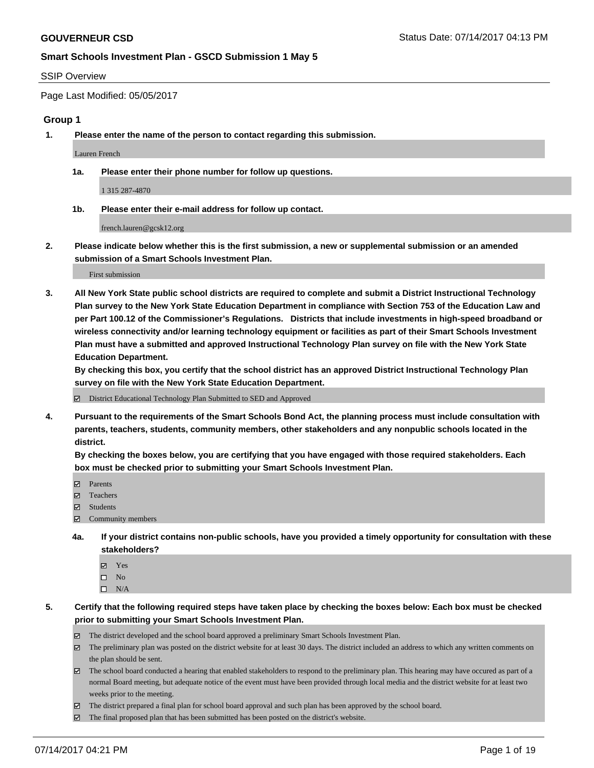#### SSIP Overview

Page Last Modified: 05/05/2017

#### **Group 1**

**1. Please enter the name of the person to contact regarding this submission.**

Lauren French

**1a. Please enter their phone number for follow up questions.**

1 315 287-4870

**1b. Please enter their e-mail address for follow up contact.**

french.lauren@gcsk12.org

**2. Please indicate below whether this is the first submission, a new or supplemental submission or an amended submission of a Smart Schools Investment Plan.**

First submission

**3. All New York State public school districts are required to complete and submit a District Instructional Technology Plan survey to the New York State Education Department in compliance with Section 753 of the Education Law and per Part 100.12 of the Commissioner's Regulations. Districts that include investments in high-speed broadband or wireless connectivity and/or learning technology equipment or facilities as part of their Smart Schools Investment Plan must have a submitted and approved Instructional Technology Plan survey on file with the New York State Education Department.** 

**By checking this box, you certify that the school district has an approved District Instructional Technology Plan survey on file with the New York State Education Department.**

District Educational Technology Plan Submitted to SED and Approved

**4. Pursuant to the requirements of the Smart Schools Bond Act, the planning process must include consultation with parents, teachers, students, community members, other stakeholders and any nonpublic schools located in the district.** 

**By checking the boxes below, you are certifying that you have engaged with those required stakeholders. Each box must be checked prior to submitting your Smart Schools Investment Plan.**

- **マ** Parents
- □ Teachers
- Students
- $\Xi$  Community members
- **4a. If your district contains non-public schools, have you provided a timely opportunity for consultation with these stakeholders?**
	- Yes
	- $\hfill \square$  No
	- $\square$  N/A
- **5. Certify that the following required steps have taken place by checking the boxes below: Each box must be checked prior to submitting your Smart Schools Investment Plan.**
	- The district developed and the school board approved a preliminary Smart Schools Investment Plan.
	- $\boxtimes$  The preliminary plan was posted on the district website for at least 30 days. The district included an address to which any written comments on the plan should be sent.
	- $\boxtimes$  The school board conducted a hearing that enabled stakeholders to respond to the preliminary plan. This hearing may have occured as part of a normal Board meeting, but adequate notice of the event must have been provided through local media and the district website for at least two weeks prior to the meeting.
	- The district prepared a final plan for school board approval and such plan has been approved by the school board.
	- $\boxtimes$  The final proposed plan that has been submitted has been posted on the district's website.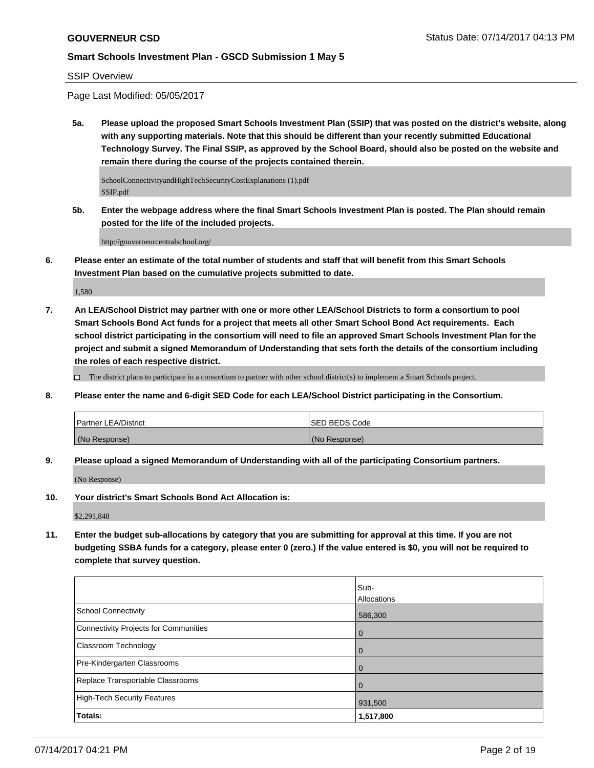#### SSIP Overview

Page Last Modified: 05/05/2017

**5a. Please upload the proposed Smart Schools Investment Plan (SSIP) that was posted on the district's website, along with any supporting materials. Note that this should be different than your recently submitted Educational Technology Survey. The Final SSIP, as approved by the School Board, should also be posted on the website and remain there during the course of the projects contained therein.**

SchoolConnectivityandHighTechSecurityCostExplanations (1).pdf SSIP.pdf

**5b. Enter the webpage address where the final Smart Schools Investment Plan is posted. The Plan should remain posted for the life of the included projects.**

http://gouverneurcentralschool.org/

**6. Please enter an estimate of the total number of students and staff that will benefit from this Smart Schools Investment Plan based on the cumulative projects submitted to date.**

1,580

**7. An LEA/School District may partner with one or more other LEA/School Districts to form a consortium to pool Smart Schools Bond Act funds for a project that meets all other Smart School Bond Act requirements. Each school district participating in the consortium will need to file an approved Smart Schools Investment Plan for the project and submit a signed Memorandum of Understanding that sets forth the details of the consortium including the roles of each respective district.**

 $\Box$  The district plans to participate in a consortium to partner with other school district(s) to implement a Smart Schools project.

**8. Please enter the name and 6-digit SED Code for each LEA/School District participating in the Consortium.**

| <b>Partner LEA/District</b> | ISED BEDS Code |
|-----------------------------|----------------|
| (No Response)               | (No Response)  |

**9. Please upload a signed Memorandum of Understanding with all of the participating Consortium partners.**

(No Response)

**10. Your district's Smart Schools Bond Act Allocation is:**

\$2,291,848

**11. Enter the budget sub-allocations by category that you are submitting for approval at this time. If you are not budgeting SSBA funds for a category, please enter 0 (zero.) If the value entered is \$0, you will not be required to complete that survey question.**

|                                       | lSub-          |
|---------------------------------------|----------------|
|                                       | Allocations    |
| School Connectivity                   | 586,300        |
| Connectivity Projects for Communities | l 0            |
| <b>Classroom Technology</b>           | $\overline{0}$ |
| Pre-Kindergarten Classrooms           | $\overline{0}$ |
| Replace Transportable Classrooms      | $\mathbf 0$    |
| High-Tech Security Features           | 931,500        |
| Totals:                               | 1,517,800      |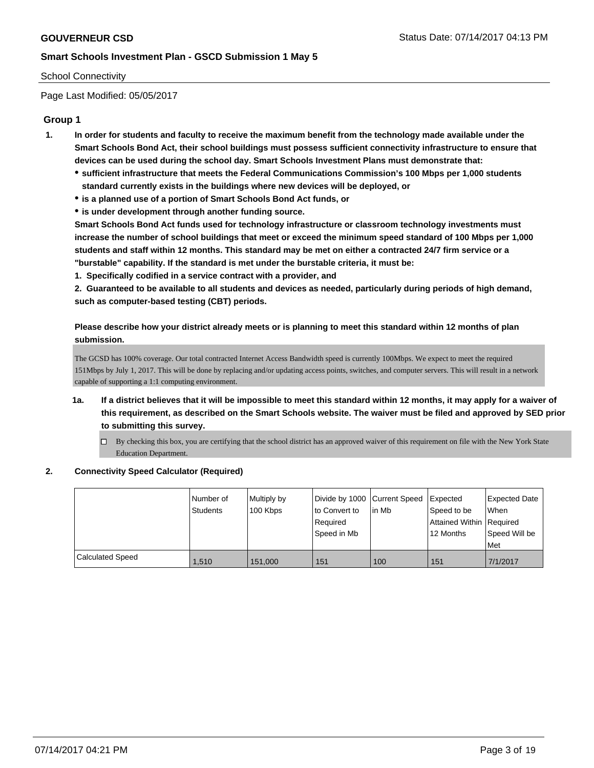### School Connectivity

Page Last Modified: 05/05/2017

# **Group 1**

- **1. In order for students and faculty to receive the maximum benefit from the technology made available under the Smart Schools Bond Act, their school buildings must possess sufficient connectivity infrastructure to ensure that devices can be used during the school day. Smart Schools Investment Plans must demonstrate that:**
	- **sufficient infrastructure that meets the Federal Communications Commission's 100 Mbps per 1,000 students standard currently exists in the buildings where new devices will be deployed, or**
	- **is a planned use of a portion of Smart Schools Bond Act funds, or**
	- **is under development through another funding source.**

**Smart Schools Bond Act funds used for technology infrastructure or classroom technology investments must increase the number of school buildings that meet or exceed the minimum speed standard of 100 Mbps per 1,000 students and staff within 12 months. This standard may be met on either a contracted 24/7 firm service or a "burstable" capability. If the standard is met under the burstable criteria, it must be:**

**1. Specifically codified in a service contract with a provider, and**

**2. Guaranteed to be available to all students and devices as needed, particularly during periods of high demand, such as computer-based testing (CBT) periods.**

**Please describe how your district already meets or is planning to meet this standard within 12 months of plan submission.**

The GCSD has 100% coverage. Our total contracted Internet Access Bandwidth speed is currently 100Mbps. We expect to meet the required 151Mbps by July 1, 2017. This will be done by replacing and/or updating access points, switches, and computer servers. This will result in a network capable of supporting a 1:1 computing environment.

- **1a. If a district believes that it will be impossible to meet this standard within 12 months, it may apply for a waiver of this requirement, as described on the Smart Schools website. The waiver must be filed and approved by SED prior to submitting this survey.**
	- By checking this box, you are certifying that the school district has an approved waiver of this requirement on file with the New York State Education Department.

#### **2. Connectivity Speed Calculator (Required)**

|                  | l Number of | Multiply by | Divide by 1000 Current Speed   Expected |        |                          | Expected Date |
|------------------|-------------|-------------|-----------------------------------------|--------|--------------------------|---------------|
|                  | Students    | 100 Kbps    | to Convert to                           | lin Mb | Speed to be              | When          |
|                  |             |             | Required                                |        | Attained Within Required |               |
|                  |             |             | l Speed in Mb                           |        | 12 Months                | Speed Will be |
|                  |             |             |                                         |        |                          | Met           |
| Calculated Speed | 1,510       | 151.000     | 151                                     | 100    | 151                      | 7/1/2017      |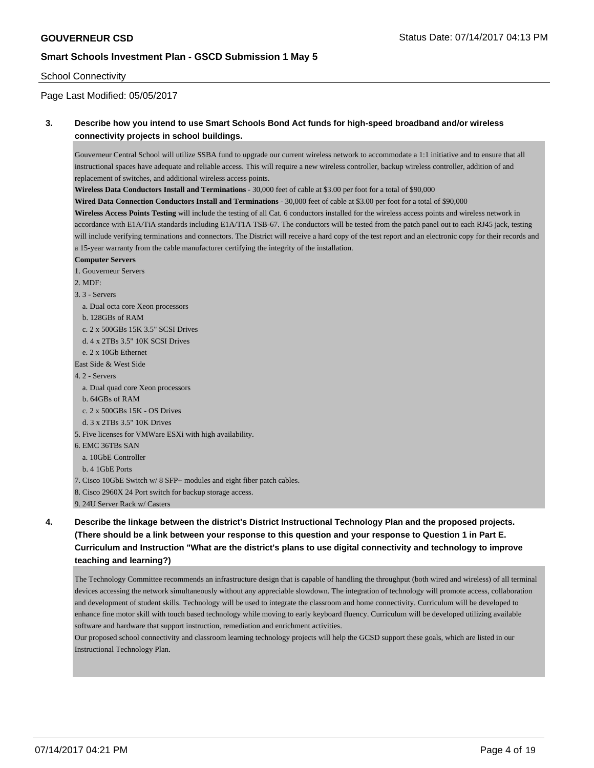#### School Connectivity

Page Last Modified: 05/05/2017

# **3. Describe how you intend to use Smart Schools Bond Act funds for high-speed broadband and/or wireless connectivity projects in school buildings.**

Gouverneur Central School will utilize SSBA fund to upgrade our current wireless network to accommodate a 1:1 initiative and to ensure that all instructional spaces have adequate and reliable access. This will require a new wireless controller, backup wireless controller, addition of and replacement of switches, and additional wireless access points.

**Wireless Data Conductors Install and Terminations** - 30,000 feet of cable at \$3.00 per foot for a total of \$90,000

**Wired Data Connection Conductors Install and Terminations** - 30,000 feet of cable at \$3.00 per foot for a total of \$90,000 **Wireless Access Points Testing** will include the testing of all Cat. 6 conductors installed for the wireless access points and wireless network in accordance with E1A/TiA standards including E1A/T1A TSB-67. The conductors will be tested from the patch panel out to each RJ45 jack, testing will include verifying terminations and connectors. The District will receive a hard copy of the test report and an electronic copy for their records and a 15-year warranty from the cable manufacturer certifying the integrity of the installation.

#### **Computer Servers**

- 1. Gouverneur Servers
- 2. MDF:
- 3. 3 Servers
	- a. Dual octa core Xeon processors
	- b. 128GBs of RAM
	- c. 2 x 500GBs 15K 3.5" SCSI Drives
	- d. 4 x 2TBs 3.5" 10K SCSI Drives
- e. 2 x 10Gb Ethernet
- East Side & West Side
- 4. 2 Servers
- a. Dual quad core Xeon processors
- b. 64GBs of RAM
- c. 2 x 500GBs 15K OS Drives
- d. 3 x 2TBs 3.5" 10K Drives
- 5. Five licenses for VMWare ESXi with high availability.
- 6. EMC 36TBs SAN
- a. 10GbE Controller
- b. 4 1GbE Ports
- 7. Cisco 10GbE Switch w/ 8 SFP+ modules and eight fiber patch cables.
- 8. Cisco 2960X 24 Port switch for backup storage access.
- 9. 24U Server Rack w/ Casters

# **4. Describe the linkage between the district's District Instructional Technology Plan and the proposed projects. (There should be a link between your response to this question and your response to Question 1 in Part E. Curriculum and Instruction "What are the district's plans to use digital connectivity and technology to improve teaching and learning?)**

The Technology Committee recommends an infrastructure design that is capable of handling the throughput (both wired and wireless) of all terminal devices accessing the network simultaneously without any appreciable slowdown. The integration of technology will promote access, collaboration and development of student skills. Technology will be used to integrate the classroom and home connectivity. Curriculum will be developed to enhance fine motor skill with touch based technology while moving to early keyboard fluency. Curriculum will be developed utilizing available software and hardware that support instruction, remediation and enrichment activities.

Our proposed school connectivity and classroom learning technology projects will help the GCSD support these goals, which are listed in our Instructional Technology Plan.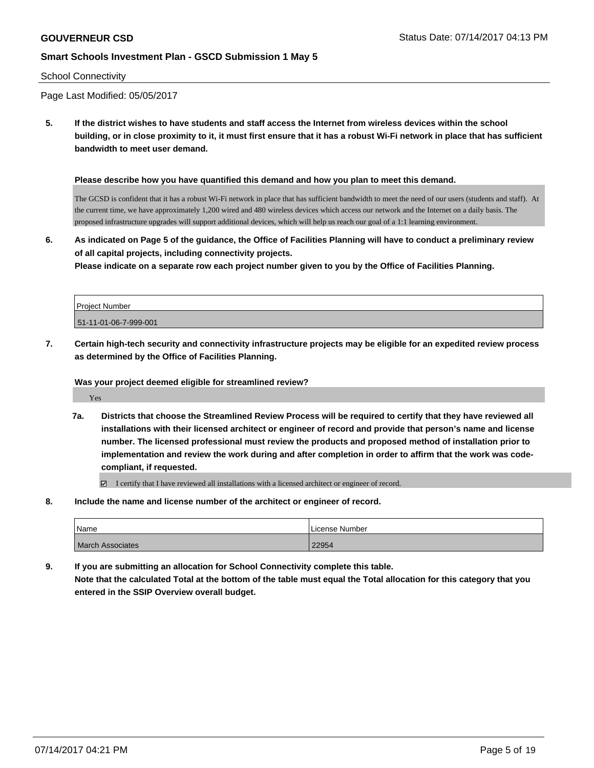#### School Connectivity

Page Last Modified: 05/05/2017

**5. If the district wishes to have students and staff access the Internet from wireless devices within the school building, or in close proximity to it, it must first ensure that it has a robust Wi-Fi network in place that has sufficient bandwidth to meet user demand.**

**Please describe how you have quantified this demand and how you plan to meet this demand.**

The GCSD is confident that it has a robust Wi-Fi network in place that has sufficient bandwidth to meet the need of our users (students and staff). At the current time, we have approximately 1,200 wired and 480 wireless devices which access our network and the Internet on a daily basis. The proposed infrastructure upgrades will support additional devices, which will help us reach our goal of a 1:1 learning environment.

**6. As indicated on Page 5 of the guidance, the Office of Facilities Planning will have to conduct a preliminary review of all capital projects, including connectivity projects.**

**Please indicate on a separate row each project number given to you by the Office of Facilities Planning.**

| Project Number        |  |
|-----------------------|--|
| 51-11-01-06-7-999-001 |  |

**7. Certain high-tech security and connectivity infrastructure projects may be eligible for an expedited review process as determined by the Office of Facilities Planning.**

**Was your project deemed eligible for streamlined review?**

Yes

- **7a. Districts that choose the Streamlined Review Process will be required to certify that they have reviewed all installations with their licensed architect or engineer of record and provide that person's name and license number. The licensed professional must review the products and proposed method of installation prior to implementation and review the work during and after completion in order to affirm that the work was codecompliant, if requested.**
	- $\boxtimes$  I certify that I have reviewed all installations with a licensed architect or engineer of record.
- **8. Include the name and license number of the architect or engineer of record.**

| Name             | License Number |
|------------------|----------------|
| March Associates | 22954          |

**9. If you are submitting an allocation for School Connectivity complete this table. Note that the calculated Total at the bottom of the table must equal the Total allocation for this category that you entered in the SSIP Overview overall budget.**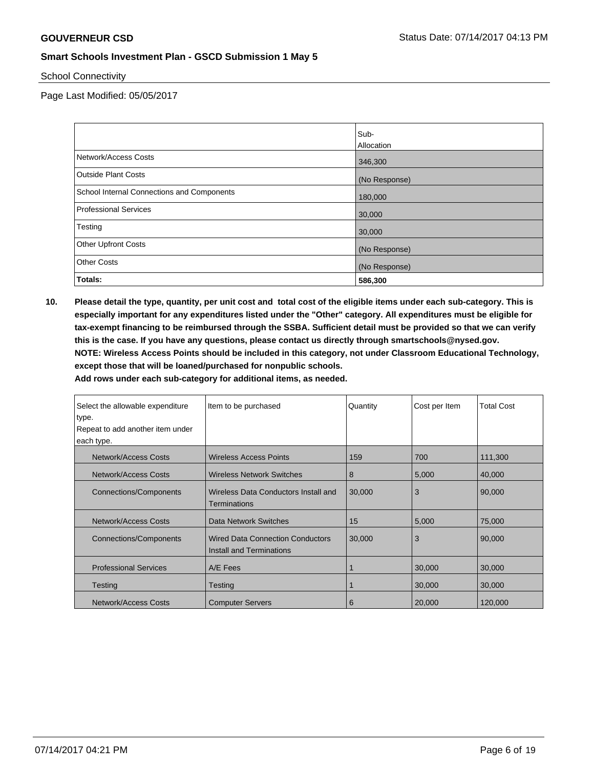School Connectivity

Page Last Modified: 05/05/2017

|                                            | Sub-          |
|--------------------------------------------|---------------|
|                                            | Allocation    |
| Network/Access Costs                       | 346,300       |
| <b>Outside Plant Costs</b>                 | (No Response) |
| School Internal Connections and Components | 180,000       |
| <b>Professional Services</b>               | 30,000        |
| Testing                                    | 30,000        |
| <b>Other Upfront Costs</b>                 | (No Response) |
| <b>Other Costs</b>                         | (No Response) |
| Totals:                                    | 586,300       |

**10. Please detail the type, quantity, per unit cost and total cost of the eligible items under each sub-category. This is especially important for any expenditures listed under the "Other" category. All expenditures must be eligible for tax-exempt financing to be reimbursed through the SSBA. Sufficient detail must be provided so that we can verify this is the case. If you have any questions, please contact us directly through smartschools@nysed.gov. NOTE: Wireless Access Points should be included in this category, not under Classroom Educational Technology, except those that will be loaned/purchased for nonpublic schools.**

| Select the allowable expenditure | Item to be purchased                                         | Quantity | Cost per Item | <b>Total Cost</b> |
|----------------------------------|--------------------------------------------------------------|----------|---------------|-------------------|
| type.                            |                                                              |          |               |                   |
| Repeat to add another item under |                                                              |          |               |                   |
| each type.                       |                                                              |          |               |                   |
| Network/Access Costs             | <b>Wireless Access Points</b>                                | 159      | 700           | 111,300           |
| Network/Access Costs             | <b>Wireless Network Switches</b>                             | 8        | 5,000         | 40,000            |
| <b>Connections/Components</b>    | Wireless Data Conductors Install and<br>Terminations         | 30,000   | 3             | 90,000            |
| Network/Access Costs             | Data Network Switches                                        | 15       | 5,000         | 75,000            |
| <b>Connections/Components</b>    | Wired Data Connection Conductors<br>Install and Terminations | 30,000   | 3             | 90,000            |
| <b>Professional Services</b>     | A/E Fees                                                     |          | 30,000        | 30,000            |
| Testing                          | Testing                                                      |          | 30,000        | 30,000            |
| Network/Access Costs             | <b>Computer Servers</b>                                      | 6        | 20,000        | 120,000           |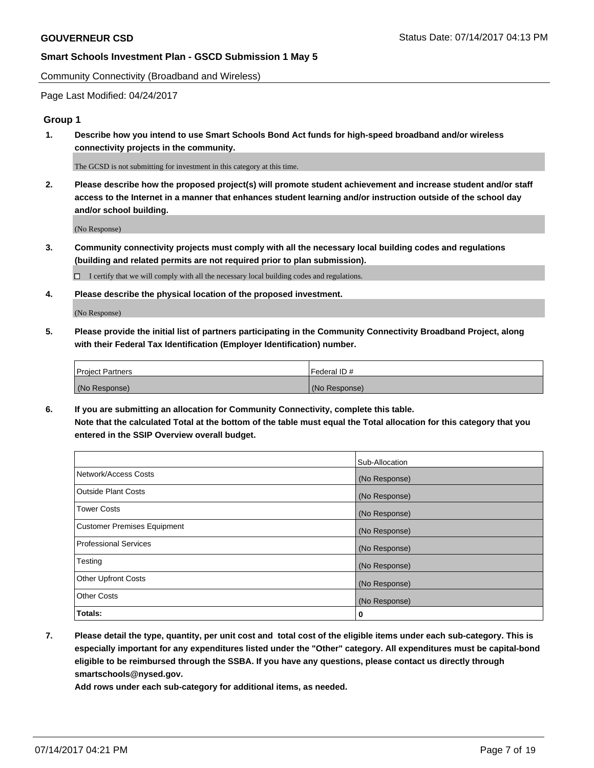Community Connectivity (Broadband and Wireless)

Page Last Modified: 04/24/2017

### **Group 1**

**1. Describe how you intend to use Smart Schools Bond Act funds for high-speed broadband and/or wireless connectivity projects in the community.**

The GCSD is not submitting for investment in this category at this time.

**2. Please describe how the proposed project(s) will promote student achievement and increase student and/or staff access to the Internet in a manner that enhances student learning and/or instruction outside of the school day and/or school building.**

(No Response)

**3. Community connectivity projects must comply with all the necessary local building codes and regulations (building and related permits are not required prior to plan submission).**

 $\Box$  I certify that we will comply with all the necessary local building codes and regulations.

**4. Please describe the physical location of the proposed investment.**

(No Response)

**5. Please provide the initial list of partners participating in the Community Connectivity Broadband Project, along with their Federal Tax Identification (Employer Identification) number.**

| <b>Project Partners</b> | Federal ID#     |
|-------------------------|-----------------|
| (No Response)           | l (No Response) |

**6. If you are submitting an allocation for Community Connectivity, complete this table. Note that the calculated Total at the bottom of the table must equal the Total allocation for this category that you entered in the SSIP Overview overall budget.**

|                                    | Sub-Allocation |
|------------------------------------|----------------|
| Network/Access Costs               | (No Response)  |
| Outside Plant Costs                | (No Response)  |
| <b>Tower Costs</b>                 | (No Response)  |
| <b>Customer Premises Equipment</b> | (No Response)  |
| <b>Professional Services</b>       | (No Response)  |
| Testing                            | (No Response)  |
| <b>Other Upfront Costs</b>         | (No Response)  |
| <b>Other Costs</b>                 | (No Response)  |
| Totals:                            | 0              |

**7. Please detail the type, quantity, per unit cost and total cost of the eligible items under each sub-category. This is especially important for any expenditures listed under the "Other" category. All expenditures must be capital-bond eligible to be reimbursed through the SSBA. If you have any questions, please contact us directly through smartschools@nysed.gov.**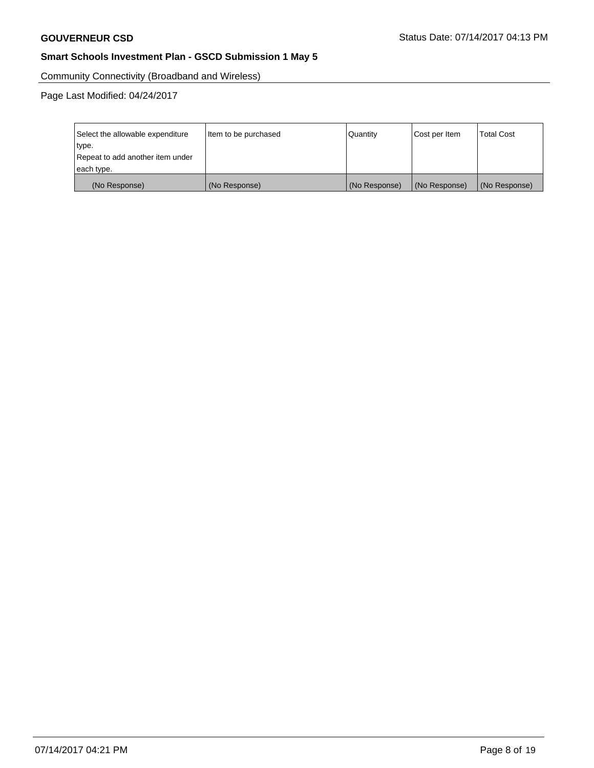Community Connectivity (Broadband and Wireless)

Page Last Modified: 04/24/2017

| Select the allowable expenditure | Item to be purchased | <b>Quantity</b> | Cost per Item | <b>Total Cost</b> |
|----------------------------------|----------------------|-----------------|---------------|-------------------|
| type.                            |                      |                 |               |                   |
| Repeat to add another item under |                      |                 |               |                   |
| each type.                       |                      |                 |               |                   |
| (No Response)                    | (No Response)        | (No Response)   | (No Response) | (No Response)     |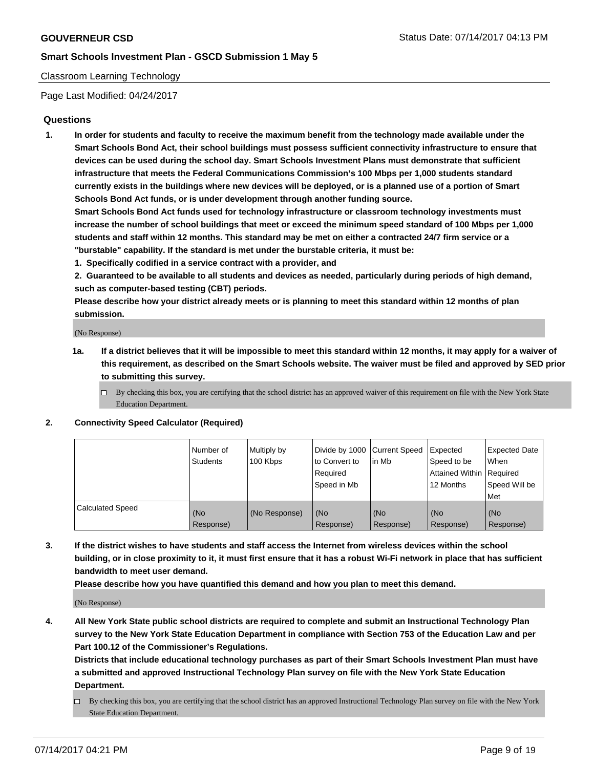## Classroom Learning Technology

Page Last Modified: 04/24/2017

# **Questions**

**1. In order for students and faculty to receive the maximum benefit from the technology made available under the Smart Schools Bond Act, their school buildings must possess sufficient connectivity infrastructure to ensure that devices can be used during the school day. Smart Schools Investment Plans must demonstrate that sufficient infrastructure that meets the Federal Communications Commission's 100 Mbps per 1,000 students standard currently exists in the buildings where new devices will be deployed, or is a planned use of a portion of Smart Schools Bond Act funds, or is under development through another funding source.**

**Smart Schools Bond Act funds used for technology infrastructure or classroom technology investments must increase the number of school buildings that meet or exceed the minimum speed standard of 100 Mbps per 1,000 students and staff within 12 months. This standard may be met on either a contracted 24/7 firm service or a "burstable" capability. If the standard is met under the burstable criteria, it must be:**

- **1. Specifically codified in a service contract with a provider, and**
- **2. Guaranteed to be available to all students and devices as needed, particularly during periods of high demand, such as computer-based testing (CBT) periods.**

**Please describe how your district already meets or is planning to meet this standard within 12 months of plan submission.**

(No Response)

- **1a. If a district believes that it will be impossible to meet this standard within 12 months, it may apply for a waiver of this requirement, as described on the Smart Schools website. The waiver must be filed and approved by SED prior to submitting this survey.**
	- $\Box$  By checking this box, you are certifying that the school district has an approved waiver of this requirement on file with the New York State Education Department.

#### **2. Connectivity Speed Calculator (Required)**

|                         | l Number of<br>Students | Multiply by<br>100 Kbps | Divide by 1000   Current Speed<br>to Convert to<br>Required<br>Speed in Mb | lin Mb           | Expected<br>Speed to be<br>Attained Within Required<br>12 Months | <b>Expected Date</b><br>When<br>Speed Will be<br>Met |
|-------------------------|-------------------------|-------------------------|----------------------------------------------------------------------------|------------------|------------------------------------------------------------------|------------------------------------------------------|
| <b>Calculated Speed</b> | (No<br>Response)        | (No Response)           | (No<br>Response)                                                           | (No<br>Response) | (No<br>Response)                                                 | (No<br>Response)                                     |

**3. If the district wishes to have students and staff access the Internet from wireless devices within the school building, or in close proximity to it, it must first ensure that it has a robust Wi-Fi network in place that has sufficient bandwidth to meet user demand.**

**Please describe how you have quantified this demand and how you plan to meet this demand.**

(No Response)

**4. All New York State public school districts are required to complete and submit an Instructional Technology Plan survey to the New York State Education Department in compliance with Section 753 of the Education Law and per Part 100.12 of the Commissioner's Regulations.**

**Districts that include educational technology purchases as part of their Smart Schools Investment Plan must have a submitted and approved Instructional Technology Plan survey on file with the New York State Education Department.**

 $\Box$  By checking this box, you are certifying that the school district has an approved Instructional Technology Plan survey on file with the New York State Education Department.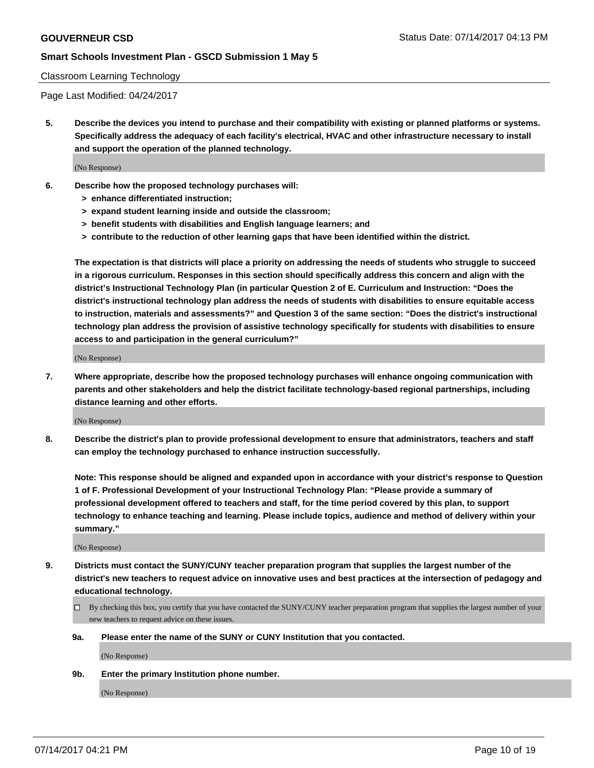#### Classroom Learning Technology

Page Last Modified: 04/24/2017

**5. Describe the devices you intend to purchase and their compatibility with existing or planned platforms or systems. Specifically address the adequacy of each facility's electrical, HVAC and other infrastructure necessary to install and support the operation of the planned technology.**

(No Response)

- **6. Describe how the proposed technology purchases will:**
	- **> enhance differentiated instruction;**
	- **> expand student learning inside and outside the classroom;**
	- **> benefit students with disabilities and English language learners; and**
	- **> contribute to the reduction of other learning gaps that have been identified within the district.**

**The expectation is that districts will place a priority on addressing the needs of students who struggle to succeed in a rigorous curriculum. Responses in this section should specifically address this concern and align with the district's Instructional Technology Plan (in particular Question 2 of E. Curriculum and Instruction: "Does the district's instructional technology plan address the needs of students with disabilities to ensure equitable access to instruction, materials and assessments?" and Question 3 of the same section: "Does the district's instructional technology plan address the provision of assistive technology specifically for students with disabilities to ensure access to and participation in the general curriculum?"**

(No Response)

**7. Where appropriate, describe how the proposed technology purchases will enhance ongoing communication with parents and other stakeholders and help the district facilitate technology-based regional partnerships, including distance learning and other efforts.**

(No Response)

**8. Describe the district's plan to provide professional development to ensure that administrators, teachers and staff can employ the technology purchased to enhance instruction successfully.**

**Note: This response should be aligned and expanded upon in accordance with your district's response to Question 1 of F. Professional Development of your Instructional Technology Plan: "Please provide a summary of professional development offered to teachers and staff, for the time period covered by this plan, to support technology to enhance teaching and learning. Please include topics, audience and method of delivery within your summary."**

(No Response)

- **9. Districts must contact the SUNY/CUNY teacher preparation program that supplies the largest number of the district's new teachers to request advice on innovative uses and best practices at the intersection of pedagogy and educational technology.**
	- By checking this box, you certify that you have contacted the SUNY/CUNY teacher preparation program that supplies the largest number of your new teachers to request advice on these issues.
	- **9a. Please enter the name of the SUNY or CUNY Institution that you contacted.**

(No Response)

**9b. Enter the primary Institution phone number.**

(No Response)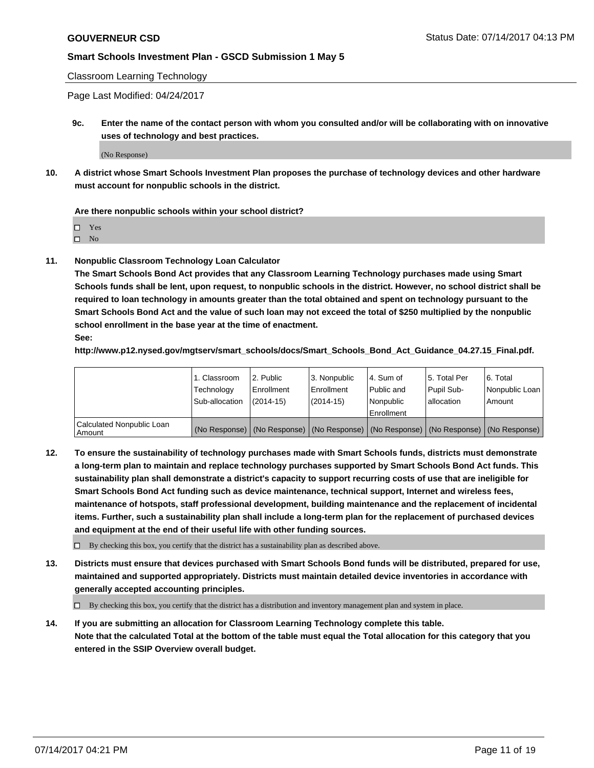Classroom Learning Technology

Page Last Modified: 04/24/2017

**9c. Enter the name of the contact person with whom you consulted and/or will be collaborating with on innovative uses of technology and best practices.**

(No Response)

**10. A district whose Smart Schools Investment Plan proposes the purchase of technology devices and other hardware must account for nonpublic schools in the district.**

**Are there nonpublic schools within your school district?**

Yes

 $\square$  No

**11. Nonpublic Classroom Technology Loan Calculator**

**The Smart Schools Bond Act provides that any Classroom Learning Technology purchases made using Smart Schools funds shall be lent, upon request, to nonpublic schools in the district. However, no school district shall be required to loan technology in amounts greater than the total obtained and spent on technology pursuant to the Smart Schools Bond Act and the value of such loan may not exceed the total of \$250 multiplied by the nonpublic school enrollment in the base year at the time of enactment.**

**See:**

**http://www.p12.nysed.gov/mgtserv/smart\_schools/docs/Smart\_Schools\_Bond\_Act\_Guidance\_04.27.15\_Final.pdf.**

|                                       | 1. Classroom   | l 2. Public   | 3. Nonpublic | l 4. Sum of | 15. Total Per                                                                                 | 6. Total       |
|---------------------------------------|----------------|---------------|--------------|-------------|-----------------------------------------------------------------------------------------------|----------------|
|                                       | Technology     | Enrollment    | Enrollment   | Public and  | Pupil Sub-                                                                                    | Nonpublic Loan |
|                                       | Sub-allocation | $(2014 - 15)$ | $(2014-15)$  | l Nonpublic | allocation                                                                                    | Amount         |
|                                       |                |               |              | Enrollment  |                                                                                               |                |
| Calculated Nonpublic Loan<br>  Amount |                |               |              |             | (No Response)   (No Response)   (No Response)   (No Response)   (No Response)   (No Response) |                |

**12. To ensure the sustainability of technology purchases made with Smart Schools funds, districts must demonstrate a long-term plan to maintain and replace technology purchases supported by Smart Schools Bond Act funds. This sustainability plan shall demonstrate a district's capacity to support recurring costs of use that are ineligible for Smart Schools Bond Act funding such as device maintenance, technical support, Internet and wireless fees, maintenance of hotspots, staff professional development, building maintenance and the replacement of incidental items. Further, such a sustainability plan shall include a long-term plan for the replacement of purchased devices and equipment at the end of their useful life with other funding sources.**

 $\Box$  By checking this box, you certify that the district has a sustainability plan as described above.

**13. Districts must ensure that devices purchased with Smart Schools Bond funds will be distributed, prepared for use, maintained and supported appropriately. Districts must maintain detailed device inventories in accordance with generally accepted accounting principles.**

By checking this box, you certify that the district has a distribution and inventory management plan and system in place.

**14. If you are submitting an allocation for Classroom Learning Technology complete this table. Note that the calculated Total at the bottom of the table must equal the Total allocation for this category that you entered in the SSIP Overview overall budget.**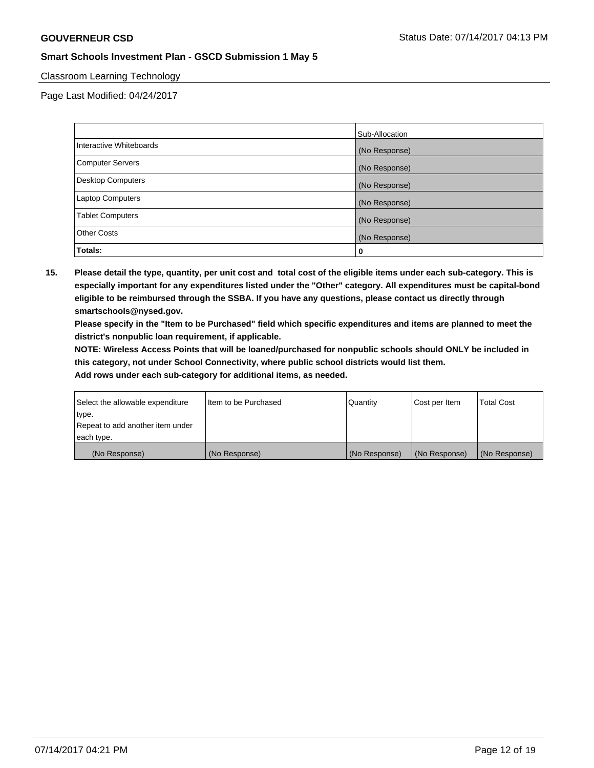# Classroom Learning Technology

Page Last Modified: 04/24/2017

|                         | Sub-Allocation |
|-------------------------|----------------|
| Interactive Whiteboards | (No Response)  |
| Computer Servers        | (No Response)  |
| Desktop Computers       | (No Response)  |
| Laptop Computers        | (No Response)  |
| <b>Tablet Computers</b> | (No Response)  |
| <b>Other Costs</b>      | (No Response)  |
| Totals:                 | U              |

**15. Please detail the type, quantity, per unit cost and total cost of the eligible items under each sub-category. This is especially important for any expenditures listed under the "Other" category. All expenditures must be capital-bond eligible to be reimbursed through the SSBA. If you have any questions, please contact us directly through smartschools@nysed.gov.**

**Please specify in the "Item to be Purchased" field which specific expenditures and items are planned to meet the district's nonpublic loan requirement, if applicable.**

**NOTE: Wireless Access Points that will be loaned/purchased for nonpublic schools should ONLY be included in this category, not under School Connectivity, where public school districts would list them.**

| Select the allowable expenditure<br>∣type. | Iltem to be Purchased | Quantity      | Cost per Item | <b>Total Cost</b> |
|--------------------------------------------|-----------------------|---------------|---------------|-------------------|
| Repeat to add another item under           |                       |               |               |                   |
| each type.                                 |                       |               |               |                   |
| (No Response)                              | (No Response)         | (No Response) | (No Response) | (No Response)     |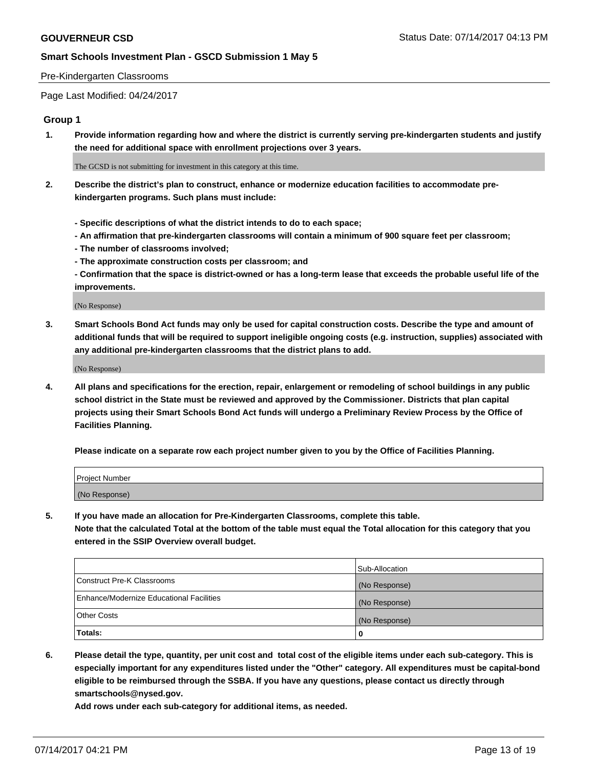#### Pre-Kindergarten Classrooms

Page Last Modified: 04/24/2017

#### **Group 1**

**1. Provide information regarding how and where the district is currently serving pre-kindergarten students and justify the need for additional space with enrollment projections over 3 years.**

The GCSD is not submitting for investment in this category at this time.

- **2. Describe the district's plan to construct, enhance or modernize education facilities to accommodate prekindergarten programs. Such plans must include:**
	- **Specific descriptions of what the district intends to do to each space;**
	- **An affirmation that pre-kindergarten classrooms will contain a minimum of 900 square feet per classroom;**
	- **The number of classrooms involved;**
	- **The approximate construction costs per classroom; and**
	- **Confirmation that the space is district-owned or has a long-term lease that exceeds the probable useful life of the improvements.**

(No Response)

**3. Smart Schools Bond Act funds may only be used for capital construction costs. Describe the type and amount of additional funds that will be required to support ineligible ongoing costs (e.g. instruction, supplies) associated with any additional pre-kindergarten classrooms that the district plans to add.**

(No Response)

**4. All plans and specifications for the erection, repair, enlargement or remodeling of school buildings in any public school district in the State must be reviewed and approved by the Commissioner. Districts that plan capital projects using their Smart Schools Bond Act funds will undergo a Preliminary Review Process by the Office of Facilities Planning.**

**Please indicate on a separate row each project number given to you by the Office of Facilities Planning.**

| Project Number |  |
|----------------|--|
| (No Response)  |  |

**5. If you have made an allocation for Pre-Kindergarten Classrooms, complete this table. Note that the calculated Total at the bottom of the table must equal the Total allocation for this category that you entered in the SSIP Overview overall budget.**

| Totals:                                  | 0              |
|------------------------------------------|----------------|
| Other Costs                              | (No Response)  |
| Enhance/Modernize Educational Facilities | (No Response)  |
| Construct Pre-K Classrooms               | (No Response)  |
|                                          | Sub-Allocation |

**6. Please detail the type, quantity, per unit cost and total cost of the eligible items under each sub-category. This is especially important for any expenditures listed under the "Other" category. All expenditures must be capital-bond eligible to be reimbursed through the SSBA. If you have any questions, please contact us directly through smartschools@nysed.gov.**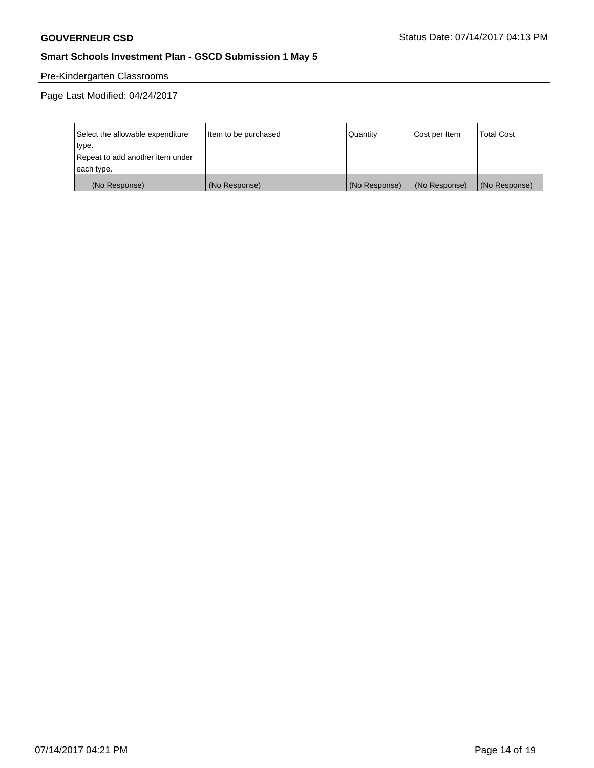# Pre-Kindergarten Classrooms

Page Last Modified: 04/24/2017

| Select the allowable expenditure | Item to be purchased | Quantity      | Cost per Item | <b>Total Cost</b> |
|----------------------------------|----------------------|---------------|---------------|-------------------|
| type.                            |                      |               |               |                   |
| Repeat to add another item under |                      |               |               |                   |
| each type.                       |                      |               |               |                   |
| (No Response)                    | (No Response)        | (No Response) | (No Response) | (No Response)     |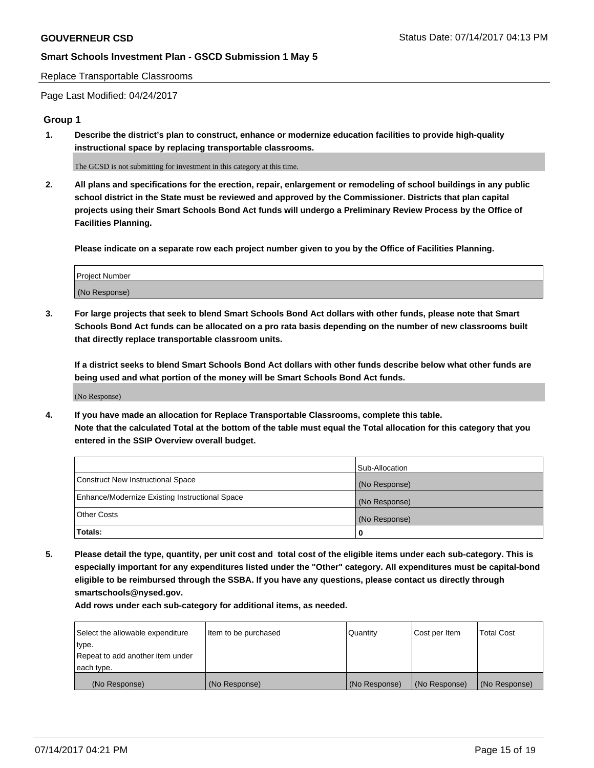Replace Transportable Classrooms

Page Last Modified: 04/24/2017

#### **Group 1**

**1. Describe the district's plan to construct, enhance or modernize education facilities to provide high-quality instructional space by replacing transportable classrooms.**

The GCSD is not submitting for investment in this category at this time.

**2. All plans and specifications for the erection, repair, enlargement or remodeling of school buildings in any public school district in the State must be reviewed and approved by the Commissioner. Districts that plan capital projects using their Smart Schools Bond Act funds will undergo a Preliminary Review Process by the Office of Facilities Planning.**

**Please indicate on a separate row each project number given to you by the Office of Facilities Planning.**

| Project Number |  |
|----------------|--|
| (No Response)  |  |

**3. For large projects that seek to blend Smart Schools Bond Act dollars with other funds, please note that Smart Schools Bond Act funds can be allocated on a pro rata basis depending on the number of new classrooms built that directly replace transportable classroom units.**

**If a district seeks to blend Smart Schools Bond Act dollars with other funds describe below what other funds are being used and what portion of the money will be Smart Schools Bond Act funds.**

(No Response)

**4. If you have made an allocation for Replace Transportable Classrooms, complete this table. Note that the calculated Total at the bottom of the table must equal the Total allocation for this category that you entered in the SSIP Overview overall budget.**

|                                                | Sub-Allocation |
|------------------------------------------------|----------------|
| Construct New Instructional Space              | (No Response)  |
| Enhance/Modernize Existing Instructional Space | (No Response)  |
| Other Costs                                    | (No Response)  |
| Totals:                                        | $\Omega$       |

**5. Please detail the type, quantity, per unit cost and total cost of the eligible items under each sub-category. This is especially important for any expenditures listed under the "Other" category. All expenditures must be capital-bond eligible to be reimbursed through the SSBA. If you have any questions, please contact us directly through smartschools@nysed.gov.**

| Select the allowable expenditure | Item to be purchased | Quantity      | Cost per Item | <b>Total Cost</b> |
|----------------------------------|----------------------|---------------|---------------|-------------------|
| type.                            |                      |               |               |                   |
| Repeat to add another item under |                      |               |               |                   |
| each type.                       |                      |               |               |                   |
| (No Response)                    | (No Response)        | (No Response) | (No Response) | (No Response)     |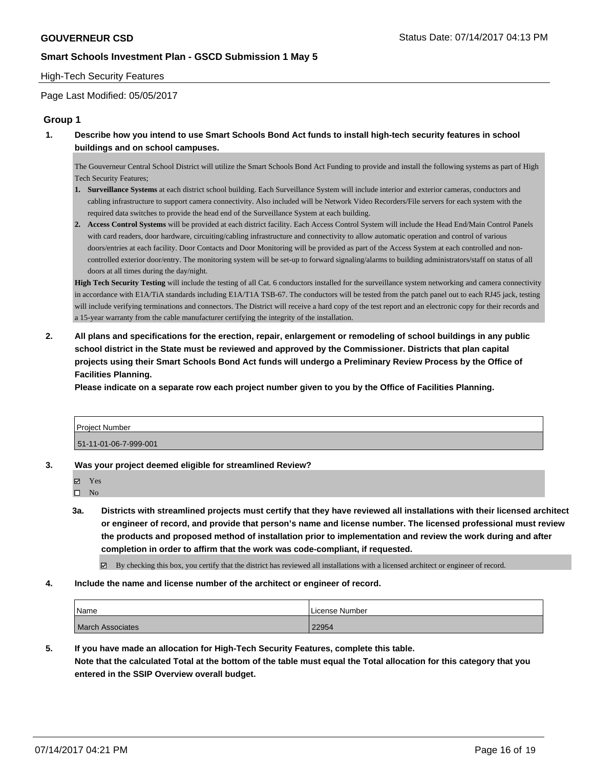## High-Tech Security Features

Page Last Modified: 05/05/2017

# **Group 1**

**1. Describe how you intend to use Smart Schools Bond Act funds to install high-tech security features in school buildings and on school campuses.**

The Gouverneur Central School District will utilize the Smart Schools Bond Act Funding to provide and install the following systems as part of High Tech Security Features;

- **1. Surveillance Systems** at each district school building. Each Surveillance System will include interior and exterior cameras, conductors and cabling infrastructure to support camera connectivity. Also included will be Network Video Recorders/File servers for each system with the required data switches to provide the head end of the Surveillance System at each building.
- **2. Access Control Systems** will be provided at each district facility. Each Access Control System will include the Head End/Main Control Panels with card readers, door hardware, circuiting/cabling infrastructure and connectivity to allow automatic operation and control of various doors/entries at each facility. Door Contacts and Door Monitoring will be provided as part of the Access System at each controlled and noncontrolled exterior door/entry. The monitoring system will be set-up to forward signaling/alarms to building administrators/staff on status of all doors at all times during the day/night.

**High Tech Security Testing** will include the testing of all Cat. 6 conductors installed for the surveillance system networking and camera connectivity in accordance with E1A/TiA standards including E1A/T1A TSB-67. The conductors will be tested from the patch panel out to each RJ45 jack, testing will include verifying terminations and connectors. The District will receive a hard copy of the test report and an electronic copy for their records and a 15-year warranty from the cable manufacturer certifying the integrity of the installation.

**2. All plans and specifications for the erection, repair, enlargement or remodeling of school buildings in any public school district in the State must be reviewed and approved by the Commissioner. Districts that plan capital projects using their Smart Schools Bond Act funds will undergo a Preliminary Review Process by the Office of Facilities Planning.** 

**Please indicate on a separate row each project number given to you by the Office of Facilities Planning.**

| <b>Project Number</b> |  |
|-----------------------|--|
| 51-11-01-06-7-999-001 |  |

- **3. Was your project deemed eligible for streamlined Review?**
	- Yes
	- $\square$  No
	- **3a. Districts with streamlined projects must certify that they have reviewed all installations with their licensed architect or engineer of record, and provide that person's name and license number. The licensed professional must review the products and proposed method of installation prior to implementation and review the work during and after completion in order to affirm that the work was code-compliant, if requested.**

By checking this box, you certify that the district has reviewed all installations with a licensed architect or engineer of record.

**4. Include the name and license number of the architect or engineer of record.**

| Name                    | License Number |
|-------------------------|----------------|
| <b>March Associates</b> | 22954          |

**5. If you have made an allocation for High-Tech Security Features, complete this table. Note that the calculated Total at the bottom of the table must equal the Total allocation for this category that you entered in the SSIP Overview overall budget.**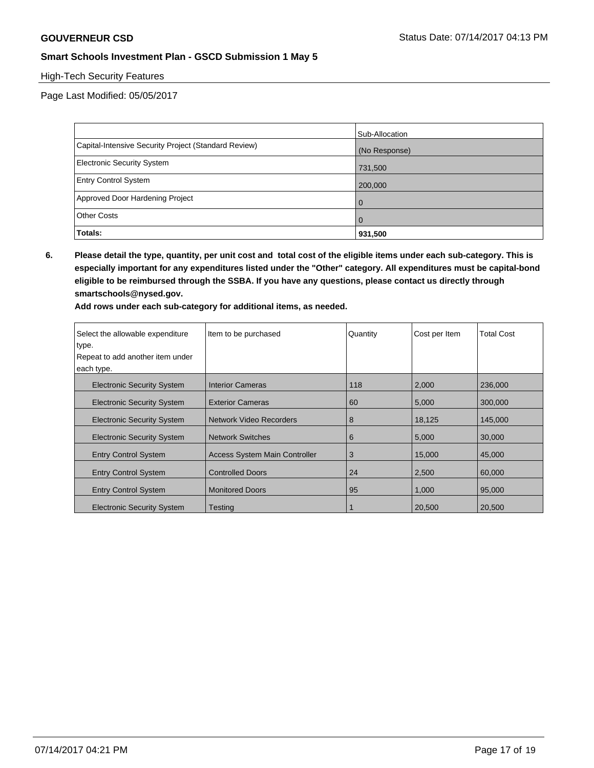# High-Tech Security Features

Page Last Modified: 05/05/2017

|                                                      | Sub-Allocation |
|------------------------------------------------------|----------------|
| Capital-Intensive Security Project (Standard Review) | (No Response)  |
| Electronic Security System                           | 731,500        |
| <b>Entry Control System</b>                          | 200,000        |
| Approved Door Hardening Project                      | $\overline{0}$ |
| <b>Other Costs</b>                                   | $\Omega$       |
| Totals:                                              | 931,500        |

**6. Please detail the type, quantity, per unit cost and total cost of the eligible items under each sub-category. This is especially important for any expenditures listed under the "Other" category. All expenditures must be capital-bond eligible to be reimbursed through the SSBA. If you have any questions, please contact us directly through smartschools@nysed.gov.**

| Select the allowable expenditure  | Item to be purchased                 | Quantity | Cost per Item | <b>Total Cost</b> |
|-----------------------------------|--------------------------------------|----------|---------------|-------------------|
| type.                             |                                      |          |               |                   |
| Repeat to add another item under  |                                      |          |               |                   |
| each type.                        |                                      |          |               |                   |
| <b>Electronic Security System</b> | <b>Interior Cameras</b>              | 118      | 2,000         | 236,000           |
| <b>Electronic Security System</b> | <b>Exterior Cameras</b>              | 60       | 5,000         | 300,000           |
| <b>Electronic Security System</b> | <b>Network Video Recorders</b>       | 8        | 18,125        | 145,000           |
| <b>Electronic Security System</b> | <b>Network Switches</b>              | 6        | 5,000         | 30,000            |
| <b>Entry Control System</b>       | <b>Access System Main Controller</b> | 3        | 15,000        | 45,000            |
| <b>Entry Control System</b>       | <b>Controlled Doors</b>              | 24       | 2,500         | 60,000            |
| <b>Entry Control System</b>       | <b>Monitored Doors</b>               | 95       | 1,000         | 95,000            |
| <b>Electronic Security System</b> | Testing                              |          | 20,500        | 20,500            |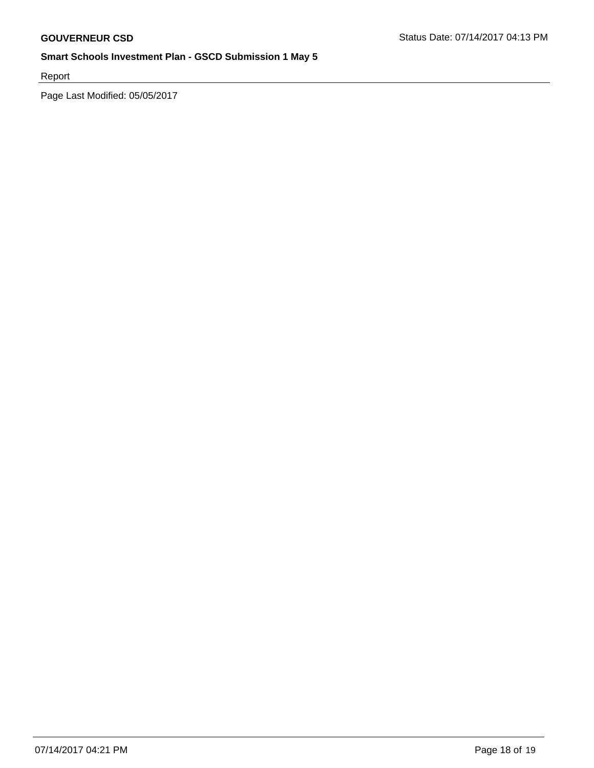Report

Page Last Modified: 05/05/2017